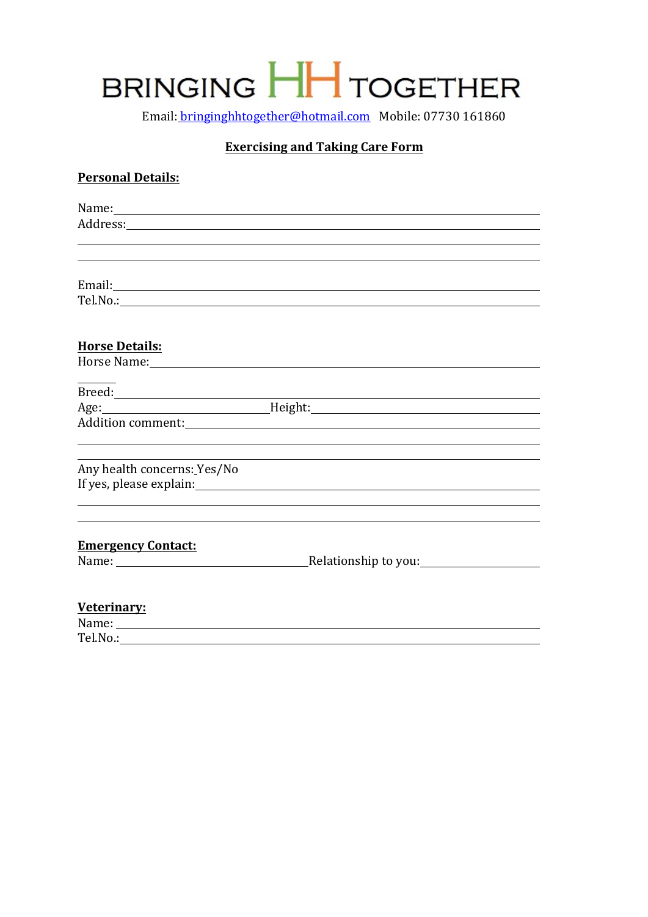# BRINGING HH TOGETHER

Email: bringinghhtogether@hotmail.com Mobile: 07730 161860

## **Exercising and Taking Care Form**

### **Personal Details:**

|                             | Name: Name: Name: Name: Name: Name: Name: Name: Name: Name: Name: Name: Name: Name: Name: Name: Name: Name: Name: Name: Name: Name: Name: Name: Name: Name: Name: Name: Name: Name: Name: Name: Name: Name: Name: Name: Name:  |  |
|-----------------------------|--------------------------------------------------------------------------------------------------------------------------------------------------------------------------------------------------------------------------------|--|
|                             | Address: Andreas Address: Address: Address: Address: Address: Address: Address: Address: Address: Address: Address: Address: Address: Address: Address: Address: Address: Address: Address: Address: Address: Address: Address |  |
|                             | ,我们也不会有什么。""我们的人,我们也不会有什么?""我们的人,我们也不会有什么?""我们的人,我们也不会有什么?""我们的人,我们也不会有什么?""我们的人                                                                                                                                               |  |
|                             |                                                                                                                                                                                                                                |  |
|                             |                                                                                                                                                                                                                                |  |
|                             |                                                                                                                                                                                                                                |  |
|                             |                                                                                                                                                                                                                                |  |
|                             |                                                                                                                                                                                                                                |  |
|                             |                                                                                                                                                                                                                                |  |
| <b>Horse Details:</b>       |                                                                                                                                                                                                                                |  |
|                             | Horse Name: Name: Name: Name: Name: Name: Name: Name: Name: Name: Name: Name: Name: Name: Name: Name: Name: Name: Name: Name: Name: Name: Name: Name: Name: Name: Name: Name: Name: Name: Name: Name: Name: Name: Name: Name:  |  |
|                             |                                                                                                                                                                                                                                |  |
|                             | Age: Manual Meight: Meight: Meight: Manual Meight: Manual Meight: Meight: Manual Meight: Manual Meight: Manual Meight: Manual Meight: Manual Meight: Manual Meight: Manual Meight: Manual Meight: Manual Meight: Manual Meight |  |
|                             |                                                                                                                                                                                                                                |  |
|                             |                                                                                                                                                                                                                                |  |
|                             |                                                                                                                                                                                                                                |  |
| Any health concerns: Yes/No |                                                                                                                                                                                                                                |  |
|                             |                                                                                                                                                                                                                                |  |
|                             |                                                                                                                                                                                                                                |  |
|                             |                                                                                                                                                                                                                                |  |
|                             |                                                                                                                                                                                                                                |  |
| <b>Emergency Contact:</b>   |                                                                                                                                                                                                                                |  |
|                             |                                                                                                                                                                                                                                |  |
|                             |                                                                                                                                                                                                                                |  |
| Veterinary:                 |                                                                                                                                                                                                                                |  |
|                             |                                                                                                                                                                                                                                |  |
| Tel.No.:                    |                                                                                                                                                                                                                                |  |
|                             |                                                                                                                                                                                                                                |  |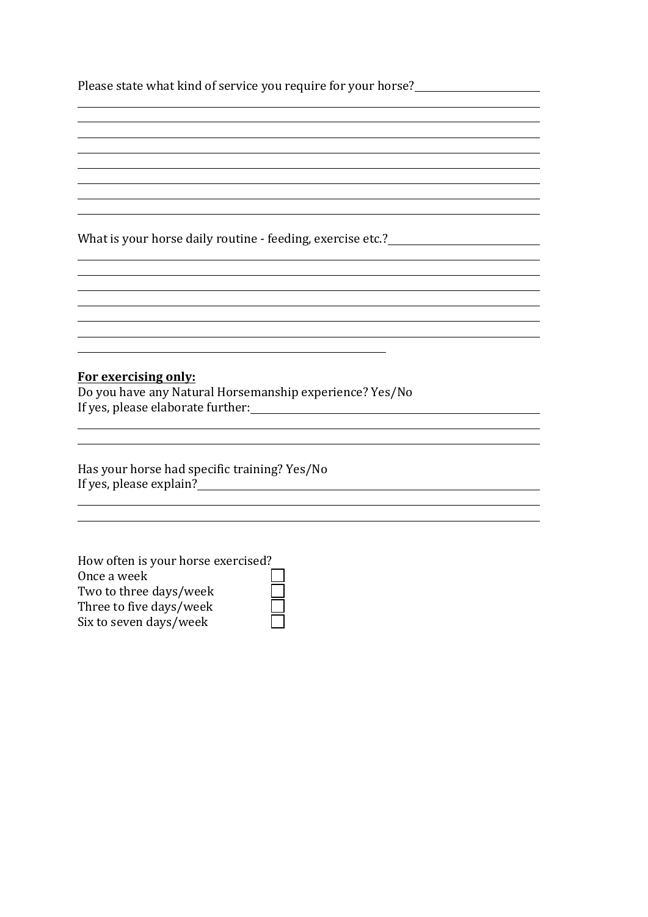| Please state what kind of service you require for your horse? |  |
|---------------------------------------------------------------|--|
|                                                               |  |
|                                                               |  |
|                                                               |  |

What is your horse daily routine - feeding, exercise etc.?\_\_\_\_\_\_\_\_\_\_\_\_\_\_\_\_\_\_\_\_\_\_

**For exercising only:**

Do you have any Natural Horsemanship experience? Yes/No If yes, please elaborate further:

Has your horse had specific training? Yes/No If yes, please explain?

How often is your horse exercised? Once a week Two to three days/week Three to five days/week Six to seven days/week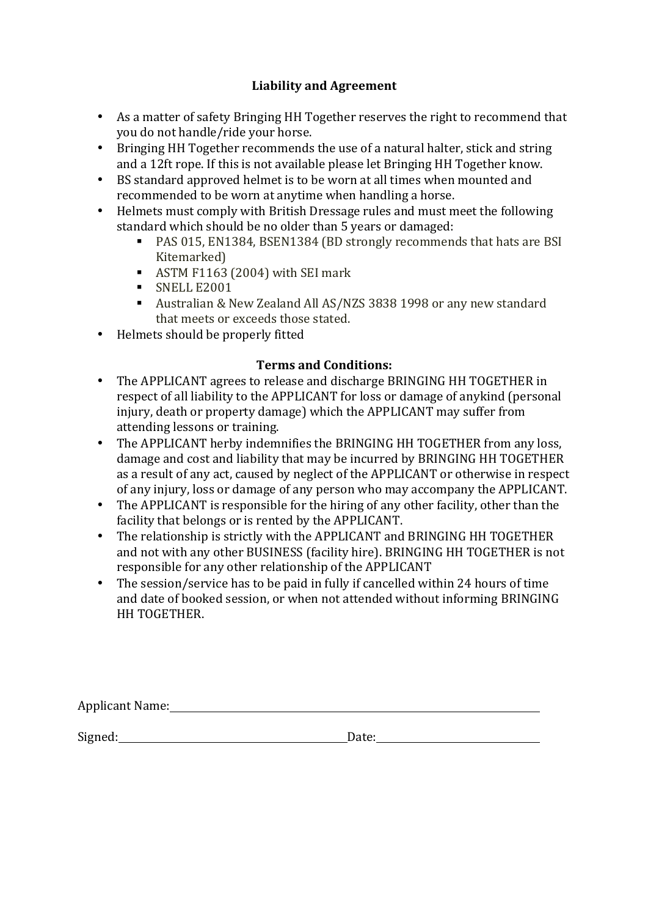## Liability and Agreement

- As a matter of safety Bringing HH Together reserves the right to recommend that you do not handle/ride your horse.
- Bringing HH Together recommends the use of a natural halter, stick and string and a 12ft rope. If this is not available please let Bringing HH Together know.
- BS standard approved helmet is to be worn at all times when mounted and recommended to be worn at anytime when handling a horse.
- Helmets must comply with British Dressage rules and must meet the following standard which should be no older than 5 years or damaged:
	- PAS 015, EN1384, BSEN1384 (BD strongly recommends that hats are BSI Kitemarked)
	- ASTM F1163 (2004) with SEI mark
	- § SNELL E2001
	- Australian & New Zealand All AS/NZS 3838 1998 or any new standard that meets or exceeds those stated.
- Helmets should be properly fitted

## **Terms and Conditions:**

- The APPLICANT agrees to release and discharge BRINGING HH TOGETHER in respect of all liability to the APPLICANT for loss or damage of anykind (personal injury, death or property damage) which the APPLICANT may suffer from attending lessons or training.
- The APPLICANT herby indemnifies the BRINGING HH TOGETHER from any loss, damage and cost and liability that may be incurred by BRINGING HH TOGETHER as a result of any act, caused by neglect of the APPLICANT or otherwise in respect of any injury, loss or damage of any person who may accompany the APPLICANT.
- The APPLICANT is responsible for the hiring of any other facility, other than the facility that belongs or is rented by the APPLICANT.
- The relationship is strictly with the APPLICANT and BRINGING HH TOGETHER and not with any other BUSINESS (facility hire). BRINGING HH TOGETHER is not responsible for any other relationship of the APPLICANT
- The session/service has to be paid in fully if cancelled within 24 hours of time and date of booked session, or when not attended without informing BRINGING HH TOGETHER.

| Applicant Name: |  |  |  |
|-----------------|--|--|--|
|                 |  |  |  |
|                 |  |  |  |

Signed: Date: